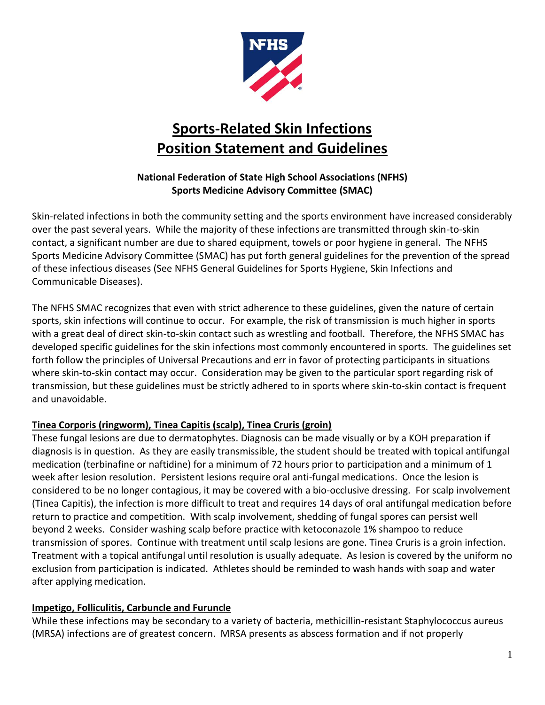

# **Sports-Related Skin Infections Position Statement and Guidelines**

## **National Federation of State High School Associations (NFHS) Sports Medicine Advisory Committee (SMAC)**

Skin-related infections in both the community setting and the sports environment have increased considerably over the past several years. While the majority of these infections are transmitted through skin-to-skin contact, a significant number are due to shared equipment, towels or poor hygiene in general. The NFHS Sports Medicine Advisory Committee (SMAC) has put forth general guidelines for the prevention of the spread of these infectious diseases (See NFHS General Guidelines for Sports Hygiene, Skin Infections and Communicable Diseases).

The NFHS SMAC recognizes that even with strict adherence to these guidelines, given the nature of certain sports, skin infections will continue to occur. For example, the risk of transmission is much higher in sports with a great deal of direct skin-to-skin contact such as wrestling and football. Therefore, the NFHS SMAC has developed specific guidelines for the skin infections most commonly encountered in sports. The guidelines set forth follow the principles of Universal Precautions and err in favor of protecting participants in situations where skin-to-skin contact may occur. Consideration may be given to the particular sport regarding risk of transmission, but these guidelines must be strictly adhered to in sports where skin-to-skin contact is frequent and unavoidable.

## **Tinea Corporis (ringworm), Tinea Capitis (scalp), Tinea Cruris (groin)**

These fungal lesions are due to dermatophytes. Diagnosis can be made visually or by a KOH preparation if diagnosis is in question. As they are easily transmissible, the student should be treated with topical antifungal medication (terbinafine or naftidine) for a minimum of 72 hours prior to participation and a minimum of 1 week after lesion resolution. Persistent lesions require oral anti-fungal medications. Once the lesion is considered to be no longer contagious, it may be covered with a bio-occlusive dressing. For scalp involvement (Tinea Capitis), the infection is more difficult to treat and requires 14 days of oral antifungal medication before return to practice and competition. With scalp involvement, shedding of fungal spores can persist well beyond 2 weeks. Consider washing scalp before practice with ketoconazole 1% shampoo to reduce transmission of spores. Continue with treatment until scalp lesions are gone. Tinea Cruris is a groin infection. Treatment with a topical antifungal until resolution is usually adequate. As lesion is covered by the uniform no exclusion from participation is indicated. Athletes should be reminded to wash hands with soap and water after applying medication.

## **Impetigo, Folliculitis, Carbuncle and Furuncle**

While these infections may be secondary to a variety of bacteria, methicillin-resistant Staphylococcus aureus (MRSA) infections are of greatest concern. MRSA presents as abscess formation and if not properly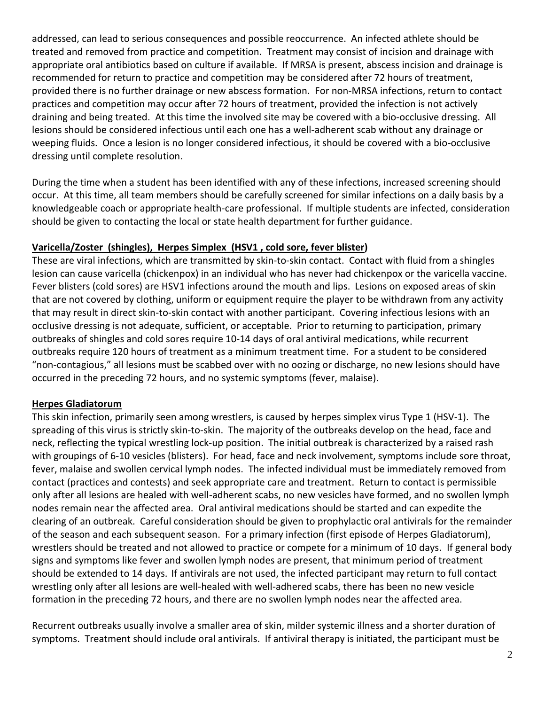addressed, can lead to serious consequences and possible reoccurrence. An infected athlete should be treated and removed from practice and competition. Treatment may consist of incision and drainage with appropriate oral antibiotics based on culture if available. If MRSA is present, abscess incision and drainage is recommended for return to practice and competition may be considered after 72 hours of treatment, provided there is no further drainage or new abscess formation. For non-MRSA infections, return to contact practices and competition may occur after 72 hours of treatment, provided the infection is not actively draining and being treated. At this time the involved site may be covered with a bio-occlusive dressing. All lesions should be considered infectious until each one has a well-adherent scab without any drainage or weeping fluids. Once a lesion is no longer considered infectious, it should be covered with a bio-occlusive dressing until complete resolution.

During the time when a student has been identified with any of these infections, increased screening should occur. At this time, all team members should be carefully screened for similar infections on a daily basis by a knowledgeable coach or appropriate health-care professional. If multiple students are infected, consideration should be given to contacting the local or state health department for further guidance.

#### **Varicella/Zoster (shingles), Herpes Simplex (HSV1 , cold sore, fever blister)**

These are viral infections, which are transmitted by skin-to-skin contact. Contact with fluid from a shingles lesion can cause varicella (chickenpox) in an individual who has never had chickenpox or the varicella vaccine. Fever blisters (cold sores) are HSV1 infections around the mouth and lips. Lesions on exposed areas of skin that are not covered by clothing, uniform or equipment require the player to be withdrawn from any activity that may result in direct skin-to-skin contact with another participant. Covering infectious lesions with an occlusive dressing is not adequate, sufficient, or acceptable. Prior to returning to participation, primary outbreaks of shingles and cold sores require 10-14 days of oral antiviral medications, while recurrent outbreaks require 120 hours of treatment as a minimum treatment time. For a student to be considered "non-contagious," all lesions must be scabbed over with no oozing or discharge, no new lesions should have occurred in the preceding 72 hours, and no systemic symptoms (fever, malaise).

### **Herpes Gladiatorum**

This skin infection, primarily seen among wrestlers, is caused by herpes simplex virus Type 1 (HSV-1). The spreading of this virus is strictly skin-to-skin. The majority of the outbreaks develop on the head, face and neck, reflecting the typical wrestling lock-up position. The initial outbreak is characterized by a raised rash with groupings of 6-10 vesicles (blisters). For head, face and neck involvement, symptoms include sore throat, fever, malaise and swollen cervical lymph nodes. The infected individual must be immediately removed from contact (practices and contests) and seek appropriate care and treatment. Return to contact is permissible only after all lesions are healed with well-adherent scabs, no new vesicles have formed, and no swollen lymph nodes remain near the affected area. Oral antiviral medications should be started and can expedite the clearing of an outbreak. Careful consideration should be given to prophylactic oral antivirals for the remainder of the season and each subsequent season. For a primary infection (first episode of Herpes Gladiatorum), wrestlers should be treated and not allowed to practice or compete for a minimum of 10 days. If general body signs and symptoms like fever and swollen lymph nodes are present, that minimum period of treatment should be extended to 14 days. If antivirals are not used, the infected participant may return to full contact wrestling only after all lesions are well-healed with well-adhered scabs, there has been no new vesicle formation in the preceding 72 hours, and there are no swollen lymph nodes near the affected area.

Recurrent outbreaks usually involve a smaller area of skin, milder systemic illness and a shorter duration of symptoms. Treatment should include oral antivirals. If antiviral therapy is initiated, the participant must be